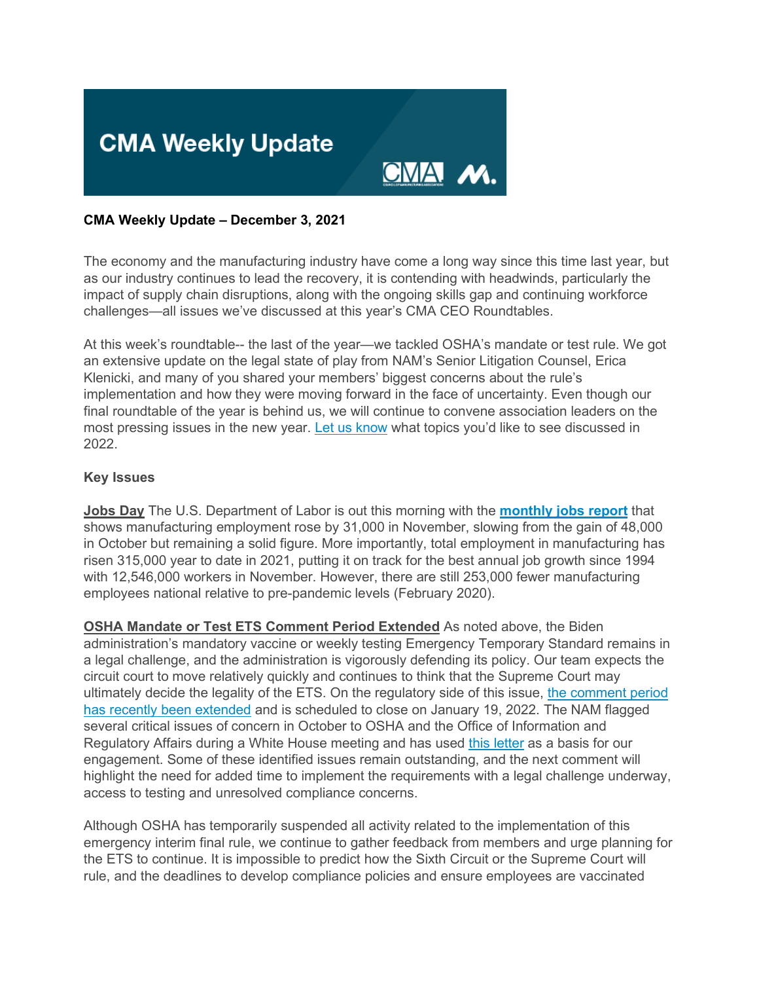

# **CMA Weekly Update – December 3, 2021**

The economy and the manufacturing industry have come a long way since this time last year, but as our industry continues to lead the recovery, it is contending with headwinds, particularly the impact of supply chain disruptions, along with the ongoing skills gap and continuing workforce challenges—all issues we've discussed at this year's CMA CEO Roundtables.

At this week's roundtable-- the last of the year—we tackled OSHA's mandate or test rule. We got an extensive update on the legal state of play from NAM's Senior Litigation Counsel, Erica Klenicki, and many of you shared your members' biggest concerns about the rule's implementation and how they were moving forward in the face of uncertainty. Even though our final roundtable of the year is behind us, we will continue to convene association leaders on the most pressing issues in the new year. [Let us know](mailto:sthompson@nam.org?subject=2022%20Roundtable%20Topics) what topics you'd like to see discussed in 2022.

#### **Key Issues**

**Jobs Day** The U.S. Department of Labor is out this morning with the **[monthly jobs report](https://click.email.nam.org/?qs=7c12d1fbfdc0a2b327bbd5bd73b9c35561208be835c9aa6cfd8c9f30d29965c213a720a1277b24bb9b82b4090b0950d6d568fe65ddca20f6)** that shows manufacturing employment rose by 31,000 in November, slowing from the gain of 48,000 in October but remaining a solid figure. More importantly, total employment in manufacturing has risen 315,000 year to date in 2021, putting it on track for the best annual job growth since 1994 with 12,546,000 workers in November. However, there are still 253,000 fewer manufacturing employees national relative to pre-pandemic levels (February 2020).

**OSHA Mandate or Test ETS Comment Period Extended** As noted above, the Biden administration's mandatory vaccine or weekly testing Emergency Temporary Standard remains in a legal challenge, and the administration is vigorously defending its policy. Our team expects the circuit court to move relatively quickly and continues to think that the Supreme Court may ultimately decide the legality of the ETS. On the regulatory side of this issue, [the comment period](https://click.email.nam.org/?qs=7c12d1fbfdc0a2b3cdbe0f97ca7813105d549e617a31a992475fcc0cad848683b3b941ca82718232b25cda7a57d6245e0c23dad2d97c2683)  [has recently been extended](https://click.email.nam.org/?qs=7c12d1fbfdc0a2b3cdbe0f97ca7813105d549e617a31a992475fcc0cad848683b3b941ca82718232b25cda7a57d6245e0c23dad2d97c2683) and is scheduled to close on January 19, 2022. The NAM flagged several critical issues of concern in October to OSHA and the Office of Information and Regulatory Affairs during a White House meeting and has used [this letter](https://click.email.nam.org/?qs=7c12d1fbfdc0a2b384412b91118f19430b4aaab66b7c828161a7a7c04f3deb61e0410e6b541d0365dbb3e81ba941bbc82048a800bdce133e) as a basis for our engagement. Some of these identified issues remain outstanding, and the next comment will highlight the need for added time to implement the requirements with a legal challenge underway, access to testing and unresolved compliance concerns.

Although OSHA has temporarily suspended all activity related to the implementation of this emergency interim final rule, we continue to gather feedback from members and urge planning for the ETS to continue. It is impossible to predict how the Sixth Circuit or the Supreme Court will rule, and the deadlines to develop compliance policies and ensure employees are vaccinated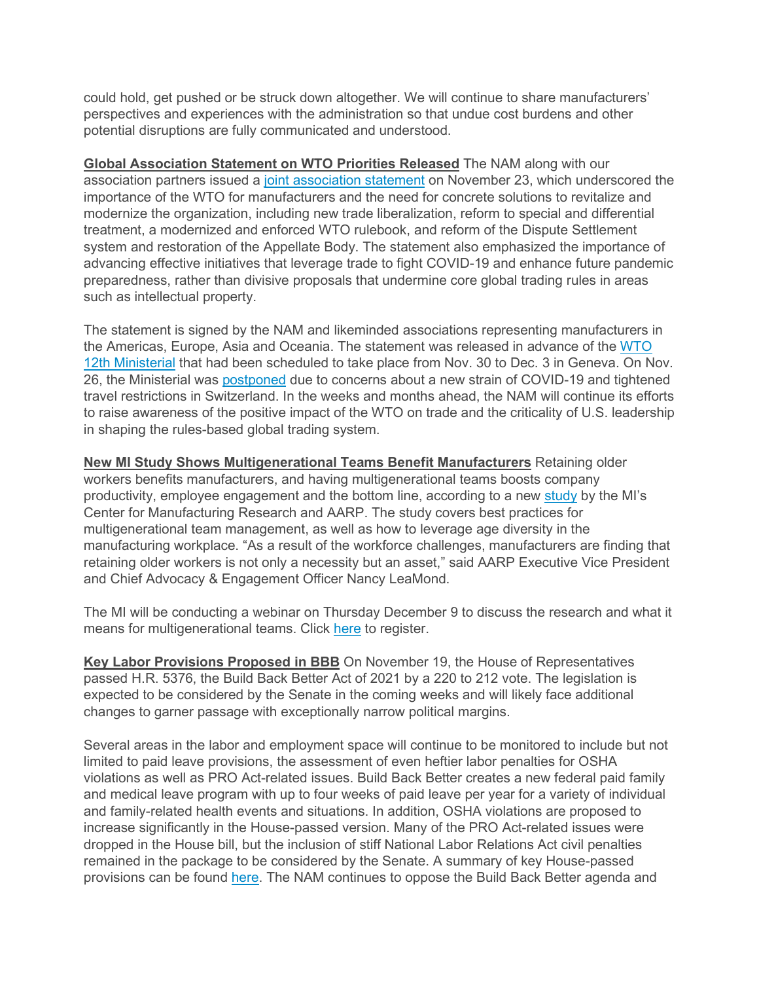could hold, get pushed or be struck down altogether. We will continue to share manufacturers' perspectives and experiences with the administration so that undue cost burdens and other potential disruptions are fully communicated and understood.

**Global Association Statement on WTO Priorities Released** The NAM along with our association partners issued a joint [association](https://click.email.nam.org/?qs=7c12d1fbfdc0a2b33e99d2f961459547049456805aa29fbff499d8ccc5a8f14673e9c0af762e01dbba959290c45ad8887ba6c8085aba964c) statement on November 23, which underscored the importance of the WTO for manufacturers and the need for concrete solutions to revitalize and modernize the organization, including new trade liberalization, reform to special and differential treatment, a modernized and enforced WTO rulebook, and reform of the Dispute Settlement system and restoration of the Appellate Body. The statement also emphasized the importance of advancing effective initiatives that leverage trade to fight COVID-19 and enhance future pandemic preparedness, rather than divisive proposals that undermine core global trading rules in areas such as intellectual property.

The statement is signed by the NAM and likeminded associations representing manufacturers in the Americas, Europe, Asia and Oceania. The statement was released in advance of the [WTO](https://click.email.nam.org/?qs=7c12d1fbfdc0a2b304bf72b7f7dfc2309fb3c1381514b76cdbdf0b6fc94b70d568ea5425d0b391cf1bb5e6a779695d61c5f94ac805f04976) 12th [Ministerial](https://click.email.nam.org/?qs=7c12d1fbfdc0a2b304bf72b7f7dfc2309fb3c1381514b76cdbdf0b6fc94b70d568ea5425d0b391cf1bb5e6a779695d61c5f94ac805f04976) that had been scheduled to take place from Nov. 30 to Dec. 3 in Geneva. On Nov. 26, the Ministerial was [postponed](https://click.email.nam.org/?qs=7c12d1fbfdc0a2b30c7b9a798ee22cb6da72c300f3920da3f47aefb1627eb11c24fcb949c1414503c960e5a7bdfd005e4111c3ed0bfc91f4) due to concerns about a new strain of COVID-19 and tightened travel restrictions in Switzerland. In the weeks and months ahead, the NAM will continue its efforts to raise awareness of the positive impact of the WTO on trade and the criticality of U.S. leadership in shaping the rules-based global trading system.

**New MI Study Shows Multigenerational Teams Benefit Manufacturers** Retaining older workers benefits manufacturers, and having multigenerational teams boosts company productivity, employee engagement and the bottom line, according to a new [study](https://click.email.nam.org/?qs=7c12d1fbfdc0a2b3a3333ff512998d0dd76bd5b7b23dde4e09863995977ba67b3b7af64955f6dbb63701c0cbc4e928a8df5aa27d8beed4b4) by the MI's Center for Manufacturing Research and AARP. The study covers best practices for multigenerational team management, as well as how to leverage age diversity in the manufacturing workplace. "As a result of the workforce challenges, manufacturers are finding that retaining older workers is not only a necessity but an asset," said AARP Executive Vice President and Chief Advocacy & Engagement Officer Nancy LeaMond.

The MI will be conducting a webinar on Thursday December 9 to discuss the research and what it means for multigenerational teams. Click [here](https://click.email.nam.org/?qs=7c12d1fbfdc0a2b3b144c397352aeaf25a05012da6cfb97f3b7a9671460aae1e483ceaedf91eb4cdbd1d865a15c791e7f40c5bb9a650ecfc) to register.

**Key Labor Provisions Proposed in BBB** On November 19, the House of Representatives passed H.R. 5376, the Build Back Better Act of 2021 by a 220 to 212 vote. The legislation is expected to be considered by the Senate in the coming weeks and will likely face additional changes to garner passage with exceptionally narrow political margins.

Several areas in the labor and employment space will continue to be monitored to include but not limited to paid leave provisions, the assessment of even heftier labor penalties for OSHA violations as well as PRO Act-related issues. Build Back Better creates a new federal paid family and medical leave program with up to four weeks of paid leave per year for a variety of individual and family-related health events and situations. In addition, OSHA violations are proposed to increase significantly in the House-passed version. Many of the PRO Act-related issues were dropped in the House bill, but the inclusion of stiff National Labor Relations Act civil penalties remained in the package to be considered by the Senate. A summary of key House-passed provisions can be found [here.](https://click.email.nam.org/?qs=7c12d1fbfdc0a2b3795520e4d32078df39047d03e20fdf8dc37fcb071a1dcb7cc9b677334136d70dbcc17ed8a0b6a0ecf0cbfc01626e5724) The NAM continues to oppose the Build Back Better agenda and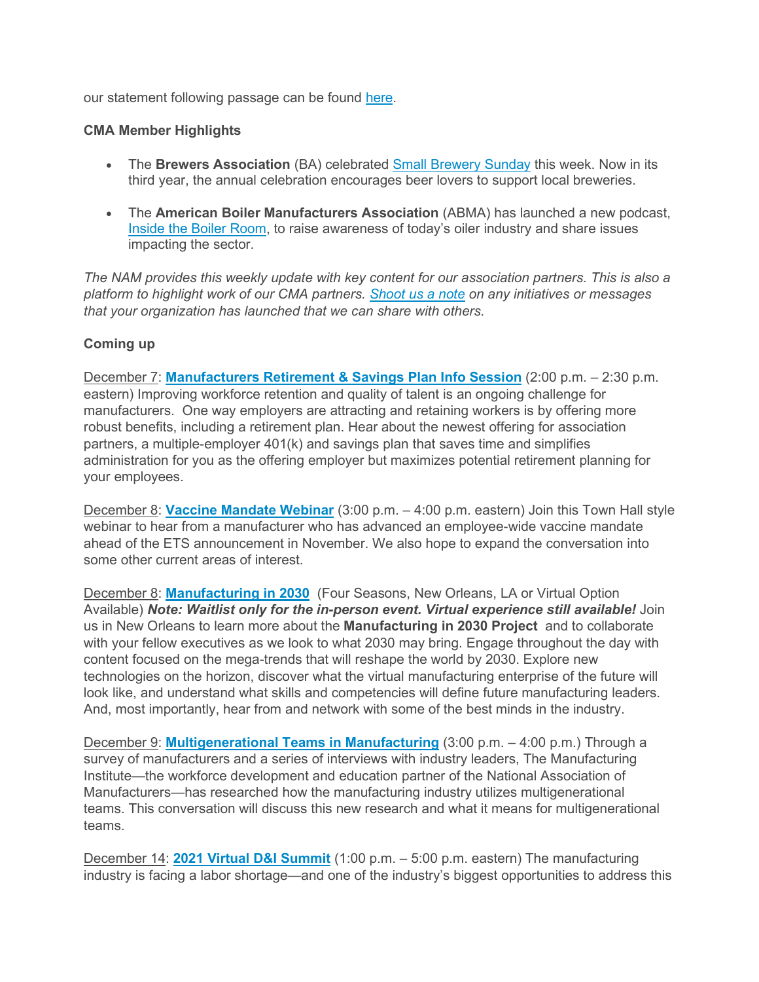our statement following passage can be found [here.](https://click.email.nam.org/?qs=7c12d1fbfdc0a2b3c44b249422b566aad95262cd68ca6e0c907364d08b7f506be8c78377ec6aec774520fd8c7c13cee266045fe7de33f052)

### **CMA Member Highlights**

- The **Brewers Association** (BA) celebrated [Small Brewery Sunday](https://click.email.nam.org/?qs=7c12d1fbfdc0a2b394185136df5c9a7157854314e059b23126fd0d83973088ff98d58c4f5c4ec2e569b0df6c295854fa52da5549772cde31) this week. Now in its third year, the annual celebration encourages beer lovers to support local breweries.
- The **American Boiler Manufacturers Association** (ABMA) has launched a new podcast, [Inside the Boiler Room,](https://click.email.nam.org/?qs=7c12d1fbfdc0a2b35be68e81dee262af146cb866eedbb087d49d8d7a8104bc8d0d4360ea73a23287f63ae880d19afbba924662026c955e8c) to raise awareness of today's oiler industry and share issues impacting the sector.

*The NAM provides this weekly update with key content for our association partners. This is also a platform to highlight work of our CMA partners. [Shoot us a note](mailto:sthompson@nam.org?subject=) on any initiatives or messages that your organization has launched that we can share with others.*

# **Coming up**

December 7: **[Manufacturers Retirement & Savings Plan Info Session](https://click.email.nam.org/?qs=7c12d1fbfdc0a2b392dab2e430d5680b12c2780c5a7df704c69fcc2c4f2df88dc77a1cc8bf4faf14c733d0aef7a41f89fe38330fabedde88)** (2:00 p.m. – 2:30 p.m. eastern) Improving workforce retention and quality of talent is an ongoing challenge for manufacturers. One way employers are attracting and retaining workers is by offering more robust benefits, including a retirement plan. Hear about the newest offering for association partners, a multiple-employer 401(k) and savings plan that saves time and simplifies administration for you as the offering employer but maximizes potential retirement planning for your employees.

December 8: **[Vaccine Mandate Webinar](https://click.email.nam.org/?qs=7c12d1fbfdc0a2b330396fc3ebd94f6f7f5c59266d81dcd1e47e5f76d91cb42bfd141c6d03b5e4bab22a03ab67133a0b5534df4c82c594a8)** (3:00 p.m. – 4:00 p.m. eastern) Join this Town Hall style webinar to hear from a manufacturer who has advanced an employee-wide vaccine mandate ahead of the ETS announcement in November. We also hope to expand the conversation into some other current areas of interest.

December 8: **[Manufacturing in 2030](https://click.email.nam.org/?qs=7c12d1fbfdc0a2b3fc675a79f851fd57595df372038af79e327ad2b62d95e1c335eed82fdc9552dfc11366293a58f183858251f3d851a97c)** (Four Seasons, New Orleans, LA or Virtual Option Available) *Note: Waitlist only for the in-person event. Virtual experience still available!* Join us in New Orleans to learn more about the **Manufacturing in 2030 Project** and to collaborate with your fellow executives as we look to what 2030 may bring. Engage throughout the day with content focused on the mega-trends that will reshape the world by 2030. Explore new technologies on the horizon, discover what the virtual manufacturing enterprise of the future will look like, and understand what skills and competencies will define future manufacturing leaders. And, most importantly, hear from and network with some of the best minds in the industry.

December 9: **[Multigenerational Teams in Manufacturing](https://click.email.nam.org/?qs=7c12d1fbfdc0a2b39e0826ae8384ec640dbff0fafb3b9cc0402bf31d060de4113ded020c0a43db7b90616e860d909fbaf61534d2d57b2522)** (3:00 p.m. – 4:00 p.m.) Through a survey of manufacturers and a series of interviews with industry leaders, The Manufacturing Institute—the workforce development and education partner of the National Association of Manufacturers—has researched how the manufacturing industry utilizes multigenerational teams. This conversation will discuss this new research and what it means for multigenerational teams.

December 14: **[2021 Virtual D&I Summit](https://click.email.nam.org/?qs=7c12d1fbfdc0a2b3d00fb89c7fb5f0d7a090785029fcb98c58d1ebf4135f83d4edb51d7bb90a658696753cf976b25626608bb0bc31ba8a8b)** (1:00 p.m. – 5:00 p.m. eastern) The manufacturing industry is facing a labor shortage—and one of the industry's biggest opportunities to address this